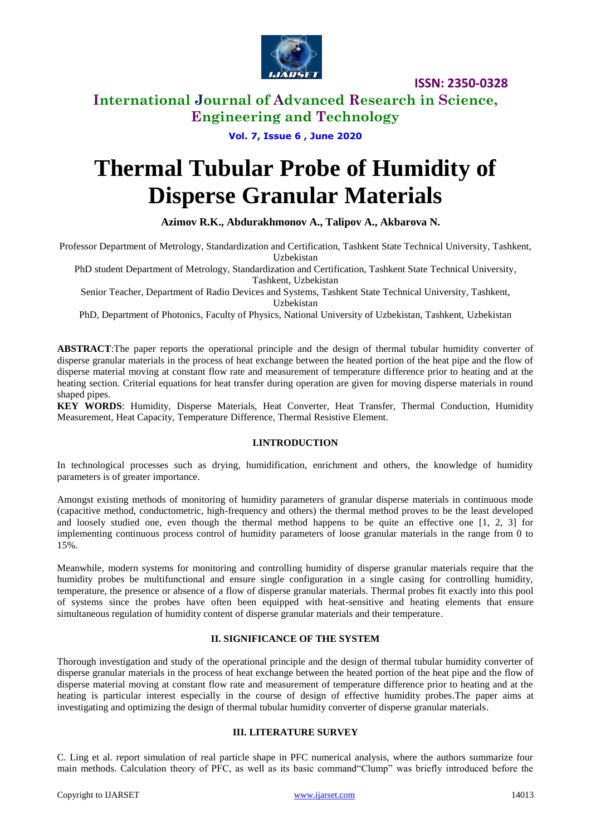

## **International Journal of Advanced Research in Science, Engineering and Technology**

**Vol. 7, Issue 6 , June 2020**

# **Thermal Tubular Probe of Humidity of Disperse Granular Materials**

#### **Azimov R.K., Abdurakhmonov A., Talipov A., Akbarova N.**

Professor Department of Metrology, Standardization and Certification, Tashkent State Technical University, Tashkent,

Uzbekistan

PhD student Department of Metrology, Standardization and Certification, Tashkent State Technical University, Tashkent, Uzbekistan

Senior Teacher, Department of Radio Devices and Systems, Tashkent State Technical University, Tashkent, Uzbekistan

PhD, Department of Photonics, Faculty of Physics, National University of Uzbekistan, Tashkent, Uzbekistan

**ABSTRACT**:The paper reports the operational principle and the design of thermal tubular humidity converter of disperse granular materials in the process of heat exchange between the heated portion of the heat pipe and the flow of disperse material moving at constant flow rate and measurement of temperature difference prior to heating and at the heating section. Criterial equations for heat transfer during operation are given for moving disperse materials in round shaped pipes.

**KEY WORDS**: Humidity, Disperse Materials, Heat Converter, Heat Transfer, Thermal Conduction, Humidity Measurement, Heat Capacity, Temperature Difference, Thermal Resistive Element.

#### **I.INTRODUCTION**

In technological processes such as drying, humidification, enrichment and others, the knowledge of humidity parameters is of greater importance.

Amongst existing methods of monitoring of humidity parameters of granular disperse materials in continuous mode (capacitive method, conductometric, high-frequency and others) the thermal method proves to be the least developed and loosely studied one, even though the thermal method happens to be quite an effective one [1, 2, 3] for implementing continuous process control of humidity parameters of loose granular materials in the range from 0 to 15%.

Meanwhile, modern systems for monitoring and controlling humidity of disperse granular materials require that the humidity probes be multifunctional and ensure single configuration in a single casing for controlling humidity, temperature, the presence or absence of a flow of disperse granular materials. Thermal probes fit exactly into this pool of systems since the probes have often been equipped with heat-sensitive and heating elements that ensure simultaneous regulation of humidity content of disperse granular materials and their temperature.

#### **II. SIGNIFICANCE OF THE SYSTEM**

Thorough investigation and study of the operational principle and the design of thermal tubular humidity converter of disperse granular materials in the process of heat exchange between the heated portion of the heat pipe and the flow of disperse material moving at constant flow rate and measurement of temperature difference prior to heating and at the heating is particular interest especially in the course of design of effective humidity probes.The paper aims at investigating and optimizing the design of thermal tubular humidity converter of disperse granular materials.

#### **III. LITERATURE SURVEY**

C. Ling et al. report simulation of real particle shape in PFC numerical analysis, where the authors summarize four main methods. Calculation theory of PFC, as well as its basic command"Clump" was briefly introduced before the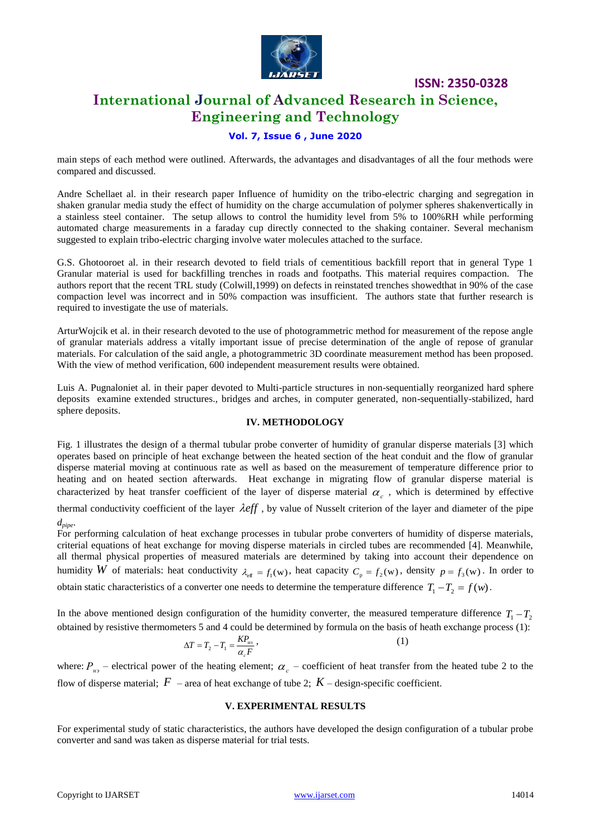

## **International Journal of Advanced Research in Science, Engineering and Technology**

#### **Vol. 7, Issue 6 , June 2020**

main steps of each method were outlined. Afterwards, the advantages and disadvantages of all the four methods were compared and discussed.

Andre Schellaet al. in their research paper Influence of humidity on the tribo-electric charging and segregation in shaken granular media study the effect of humidity on the charge accumulation of polymer spheres shakenvertically in a stainless steel container. The setup allows to control the humidity level from 5% to 100%RH while performing automated charge measurements in a faraday cup directly connected to the shaking container. Several mechanism suggested to explain tribo-electric charging involve water molecules attached to the surface.

G.S. Ghotooroet al. in their research devoted to field trials of cementitious backfill report that in general Type 1 Granular material is used for backfilling trenches in roads and footpaths. This material requires compaction. The authors report that the recent TRL study (Colwill,1999) on defects in reinstated trenches showedthat in 90% of the case compaction level was incorrect and in 50% compaction was insufficient. The authors state that further research is required to investigate the use of materials.

ArturWojcik et al. in their research devoted to the use of photogrammetric method for measurement of the repose angle of granular materials address a vitally important issue of precise determination of the angle of repose of granular materials. For calculation of the said angle, a photogrammetric 3D coordinate measurement method has been proposed. With the view of method verification, 600 independent measurement results were obtained.

Luis A. Pugnaloniet al. in their paper devoted to Multi-particle structures in non-sequentially reorganized hard sphere deposits examine extended structures., bridges and arches, in computer generated, non-sequentially-stabilized, hard sphere deposits.

#### **IV. METHODOLOGY**

Fig. 1 illustrates the design of a thermal tubular probe converter of humidity of granular disperse materials [3] which operates based on principle of heat exchange between the heated section of the heat conduit and the flow of granular disperse material moving at continuous rate as well as based on the measurement of temperature difference prior to heating and on heated section afterwards. Heat exchange in migrating flow of granular disperse material is characterized by heat transfer coefficient of the layer of disperse material  $\alpha_c$ , which is determined by effective

thermal conductivity coefficient of the layer  $\lambda$ eff, by value of Nusselt criterion of the layer and diameter of the pipe *dpipe*.

For performing calculation of heat exchange processes in tubular probe converters of humidity of disperse materials, criterial equations of heat exchange for moving disperse materials in circled tubes are recommended [4]. Meanwhile, all thermal physical properties of measured materials are determined by taking into account their dependence on humidity W of materials: heat conductivity  $\lambda_{\text{eff}} = f_1(w)$ , heat capacity  $C_p = f_2(w)$ , density  $p = f_3(w)$ . In order to

obtain static characteristics of a converter one needs to determine the temperature difference  $T_1 - T_2 = f(w)$ .

In the above mentioned design configuration of the humidity converter, the measured temperature difference  $T_1 - T_2$ obtained by resistive thermometers 5 and 4 could be determined by formula on the basis of heath exchange process (1):

$$
\Delta T = T_2 - T_1 = \frac{KP_{\text{no}}}{\alpha_c F},\tag{1}
$$

where:  $P_{\mu_3}$  – electrical power of the heating element;  $\alpha_c$  – coefficient of heat transfer from the heated tube 2 to the flow of disperse material;  $F$  – area of heat exchange of tube 2;  $K$  – design-specific coefficient.

#### **V. EXPERIMENTAL RESULTS**

For experimental study of static characteristics, the authors have developed the design configuration of a tubular probe converter and sand was taken as disperse material for trial tests.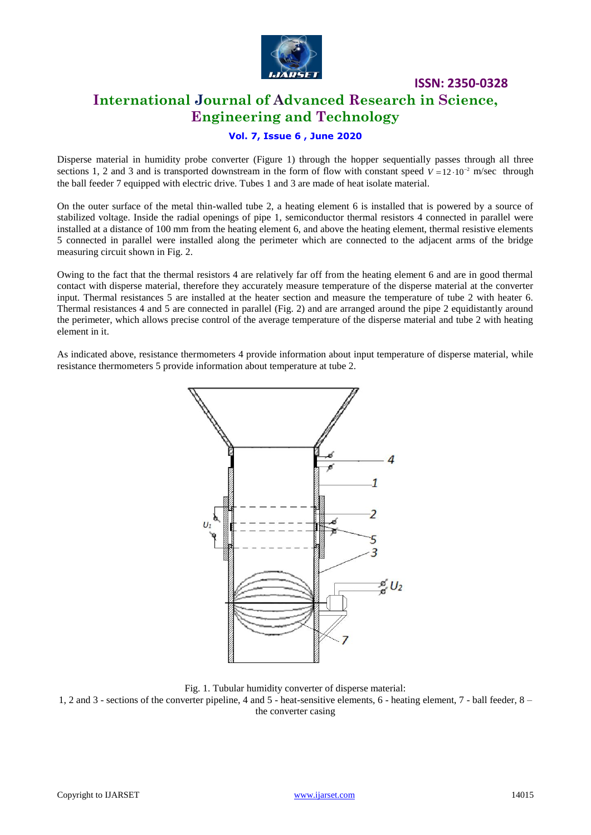

# **International Journal of Advanced Research in Science, Engineering and Technology**

**ISSN: 2350-0328**

#### **Vol. 7, Issue 6 , June 2020**

Disperse material in humidity probe converter (Figure 1) through the hopper sequentially passes through all three sections 1, 2 and 3 and is transported downstream in the form of flow with constant speed  $V = 12 \cdot 10^{-2}$  m/sec through the ball feeder 7 equipped with electric drive. Tubes 1 and 3 are made of heat isolate material.

On the outer surface of the metal thin-walled tube 2, a heating element 6 is installed that is powered by a source of stabilized voltage. Inside the radial openings of pipe 1, semiconductor thermal resistors 4 connected in parallel were installed at a distance of 100 mm from the heating element 6, and above the heating element, thermal resistive elements 5 connected in parallel were installed along the perimeter which are connected to the adjacent arms of the bridge measuring circuit shown in Fig. 2.

Owing to the fact that the thermal resistors 4 are relatively far off from the heating element 6 and are in good thermal contact with disperse material, therefore they accurately measure temperature of the disperse material at the converter input. Thermal resistances 5 are installed at the heater section and measure the temperature of tube 2 with heater 6. Thermal resistances 4 and 5 are connected in parallel (Fig. 2) and are arranged around the pipe 2 equidistantly around the perimeter, which allows precise control of the average temperature of the disperse material and tube 2 with heating element in it.

As indicated above, resistance thermometers 4 provide information about input temperature of disperse material, while resistance thermometers 5 provide information about temperature at tube 2.



Fig. 1. Tubular humidity converter of disperse material:

1, 2 and 3 - sections of the converter pipeline, 4 and 5 - heat-sensitive elements, 6 - heating element, 7 - ball feeder, 8 – the converter casing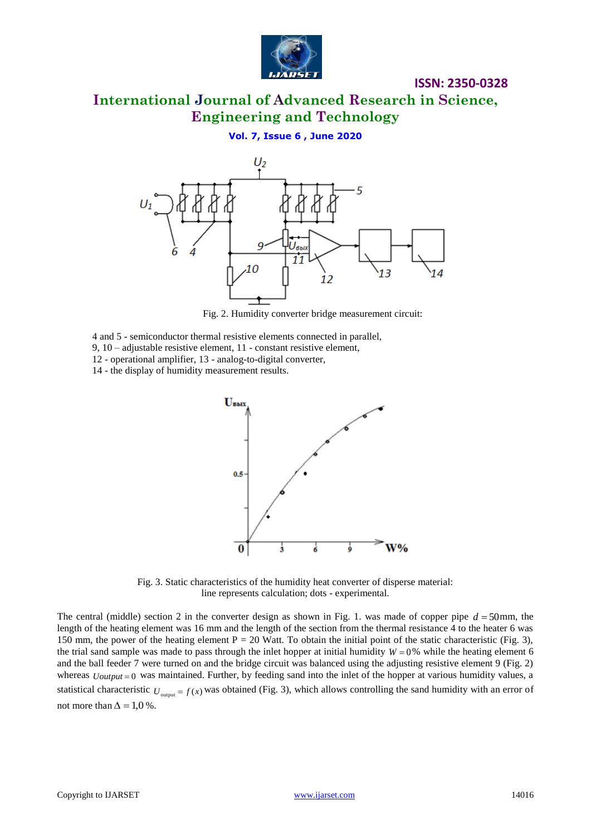

**International Journal of Advanced Research in Science, Engineering and Technology**

**Vol. 7, Issue 6 , June 2020**



Fig. 2. Humidity converter bridge measurement circuit:

- 4 and 5 semiconductor thermal resistive elements connected in parallel, 9, 10 – adjustable resistive element, 11 - constant resistive element,
- 12 operational amplifier, 13 analog-to-digital converter,

14 - the display of humidity measurement results.



Fig. 3. Static characteristics of the humidity heat converter of disperse material: line represents calculation; dots - experimental.

The central (middle) section 2 in the converter design as shown in Fig. 1. was made of copper pipe  $d = 50$  mm, the length of the heating element was 16 mm and the length of the section from the thermal resistance 4 to the heater 6 was 150 mm, the power of the heating element  $P = 20$  Watt. To obtain the initial point of the static characteristic (Fig. 3), the trial sand sample was made to pass through the inlet hopper at initial humidity  $W = 0\%$  while the heating element 6 and the ball feeder 7 were turned on and the bridge circuit was balanced using the adjusting resistive element 9 (Fig. 2) whereas  *was maintained. Further, by feeding sand into the inlet of the hopper at various humidity values, a* statistical characteristic  $U_{\text{output}} = f(x)$  was obtained (Fig. 3), which allows controlling the sand humidity with an error of not more than  $\Delta = 1.0$ %.